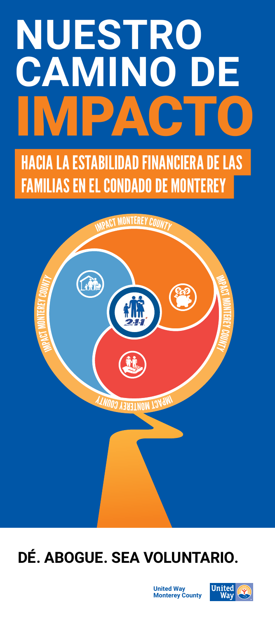# **NUESTRO CAMINO DE** PACT

HACIA LA ESTABILIDAD FINANCIERA DE LAS FAMILIAS EN EL CONDADO DE MONTEREY



#### **DÉ. ABOGUE. SEA VOLUNTARIO.**

**United Way Monterey County**

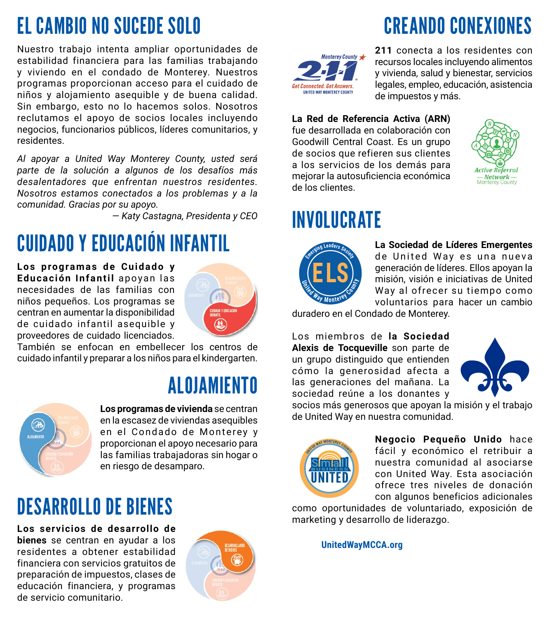## EL CAMBIO NO SUCEDE SOLO

Nuestro trabajo intenta ampliar oportunidades de estabilidad financiera para las familias trabajando y viviendo en el condado de Monterey. Nuestros programas proporcionan acceso para el cuidado de niños y alojamiento asequible y de buena calidad. Sin embargo, esto no lo hacemos solos. Nosotros reclutamos el apoyo de socios locales incluyendo negocios, funcionarios públicos, líderes comunitarios, y residentes.

*Al apoyar a United Way Monterey County, usted será parte de la solución a algunos de los desafíos más desalentadores que enfrentan nuestros residentes. Nosotros estamos conectados a los problemas y a la comunidad. Gracias por su apoyo.* 

*— Katy Castagna, Presidenta y CEO*

# CUIDADO Y EDUCACIÓN INFANTIL

**Los programas de Cuidado y**  Educación Infantil apoyan las necesidades de las familias con niños pequeños. Los programas se centran en aumentar la disponibilidad de cuidado infantil asequible y proveedores de cuidado licenciados.



También se enfocan en embellecer los centros de cuidado infantil y preparar a los niños para el kindergarten.

#### ALOJAMIENTO



**Los programas de vivienda** se centran en la escasez de viviendas asequibles en el Condado de Monterey y proporcionan el apoyo necesario para las familias trabajadoras sin hogar o en riesgo de desamparo.

### DESARROLLO DE BIENES

**Los servicios de desarrollo de bienes** se centran en ayudar a los residentes a obtener estabilidad financiera con servicios gratuitos de preparación de impuestos, clases de educación financiera, y programas de servicio comunitario.



# CREANDO CONEXIONES



**211** conecta a los residentes con recursos locales incluyendo alimentos y vivienda, salud y bienestar, servicios legales, empleo, educación, asistencia de impuestos y más.

#### **La Red de Referencia Activa (ARN)**

fue desarrollada en colaboración con Goodwill Central Coast. Es un grupo de socios que refieren sus clientes a los servicios de los demás para meiorar la autosuficiencia económica de los clientes.



#### INVOLUCRATE



**La Sociedad de Líderes Emergentes** de United Way es una nueva generación de líderes. Ellos apoyan la misión, visión e iniciativas de United Way al ofrecer su tiempo como voluntarios para hacer un cambio

duradero en el Condado de Monterey.

Los miembros de la Sociedad **Alexis de Tocqueville** son parte de un grupo distinguido que entienden cómo la generosidad afecta a las generaciones del mañana. La sociedad reúne a los donantes y



socios más generosos que apoyan la misión y el trabajo de United Way en nuestra comunidad.



**Negocio Pequeño Unido** hace fácil y económico el retribuir a nuestra comunidad al asociarse con United Way. Esta asociación ofrece tres niveles de donación con algunos beneficios adicionales

como oportunidades de voluntariado, exposición de marketing y desarrollo de liderazgo.

**UnitedWayMCCA.org**